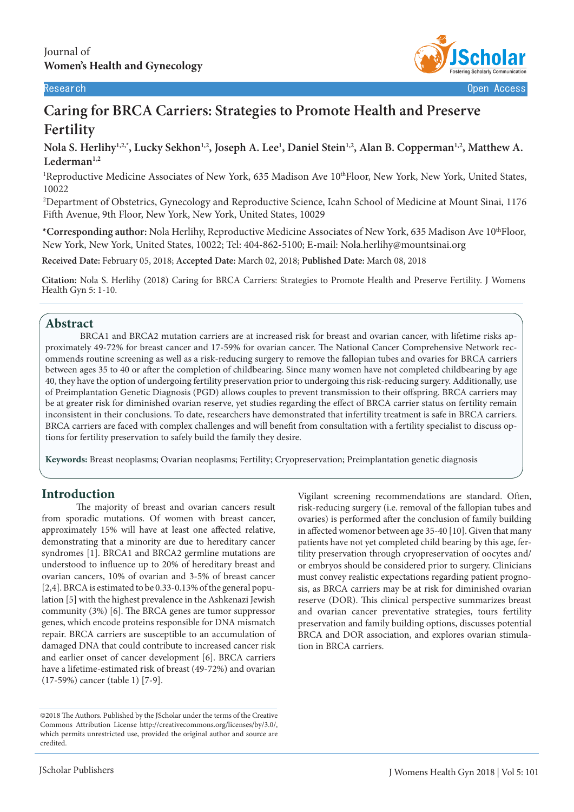

Research Open Access

# **Caring for BRCA Carriers: Strategies to Promote Health and Preserve Fertility**

**Nola S. Herlihy1,2,\*, Lucky Sekhon1,2, Joseph A. Lee1 , Daniel Stein1,2, Alan B. Copperman1,2, Matthew A. Lederman1,2**

<sup>1</sup>Reproductive Medicine Associates of New York, 635 Madison Ave 10<sup>th</sup>Floor, New York, New York, United States, 10022

2 Department of Obstetrics, Gynecology and Reproductive Science, Icahn School of Medicine at Mount Sinai, 1176 Fifth Avenue, 9th Floor, New York, New York, United States, 10029

**\*Corresponding author:** Nola Herlihy, Reproductive Medicine Associates of New York, 635 Madison Ave 10thFloor, New York, New York, United States, 10022; Tel: 404-862-5100; E-mail: Nola.herlihy@mountsinai.org

**Received Date:** February 05, 2018; **Accepted Date:** March 02, 2018; **Published Date:** March 08, 2018

**Citation:** Nola S. Herlihy (2018) Caring for BRCA Carriers: Strategies to Promote Health and Preserve Fertility. J Womens Health Gyn 5: 1-10.

## **Abstract**

BRCA1 and BRCA2 mutation carriers are at increased risk for breast and ovarian cancer, with lifetime risks approximately 49-72% for breast cancer and 17-59% for ovarian cancer. The National Cancer Comprehensive Network recommends routine screening as well as a risk-reducing surgery to remove the fallopian tubes and ovaries for BRCA carriers between ages 35 to 40 or after the completion of childbearing. Since many women have not completed childbearing by age 40, they have the option of undergoing fertility preservation prior to undergoing this risk-reducing surgery. Additionally, use of Preimplantation Genetic Diagnosis (PGD) allows couples to prevent transmission to their offspring. BRCA carriers may be at greater risk for diminished ovarian reserve, yet studies regarding the effect of BRCA carrier status on fertility remain inconsistent in their conclusions. To date, researchers have demonstrated that infertility treatment is safe in BRCA carriers. BRCA carriers are faced with complex challenges and will benefit from consultation with a fertility specialist to discuss options for fertility preservation to safely build the family they desire.

**Keywords:** Breast neoplasms; Ovarian neoplasms; Fertility; Cryopreservation; Preimplantation genetic diagnosis

# **Introduction**

The majority of breast and ovarian cancers result from sporadic mutations. Of women with breast cancer, approximately 15% will have at least one affected relative, demonstrating that a minority are due to hereditary cancer syndromes [1]. BRCA1 and BRCA2 germline mutations are understood to influence up to 20% of hereditary breast and ovarian cancers, 10% of ovarian and 3-5% of breast cancer [2,4]. BRCA is estimated to be 0.33-0.13% of the general population [5] with the highest prevalence in the Ashkenazi Jewish community (3%) [6]. The BRCA genes are tumor suppressor genes, which encode proteins responsible for DNA mismatch repair. BRCA carriers are susceptible to an accumulation of damaged DNA that could contribute to increased cancer risk and earlier onset of cancer development [6]. BRCA carriers have a lifetime-estimated risk of breast (49-72%) and ovarian (17-59%) cancer (table 1) [7-9].

Vigilant screening recommendations are standard. Often, risk-reducing surgery (i.e. removal of the fallopian tubes and ovaries) is performed after the conclusion of family building in affected womenor between age 35-40 [10]. Given that many patients have not yet completed child bearing by this age, fertility preservation through cryopreservation of oocytes and/ or embryos should be considered prior to surgery. Clinicians must convey realistic expectations regarding patient prognosis, as BRCA carriers may be at risk for diminished ovarian reserve (DOR). This clinical perspective summarizes breast and ovarian cancer preventative strategies, tours fertility preservation and family building options, discusses potential BRCA and DOR association, and explores ovarian stimulation in BRCA carriers.

<sup>©2018</sup> The Authors. Published by the JScholar under the terms of the Creative Commons Attribution License http://creativecommons.org/licenses/by/3.0/, which permits unrestricted use, provided the original author and source are credited.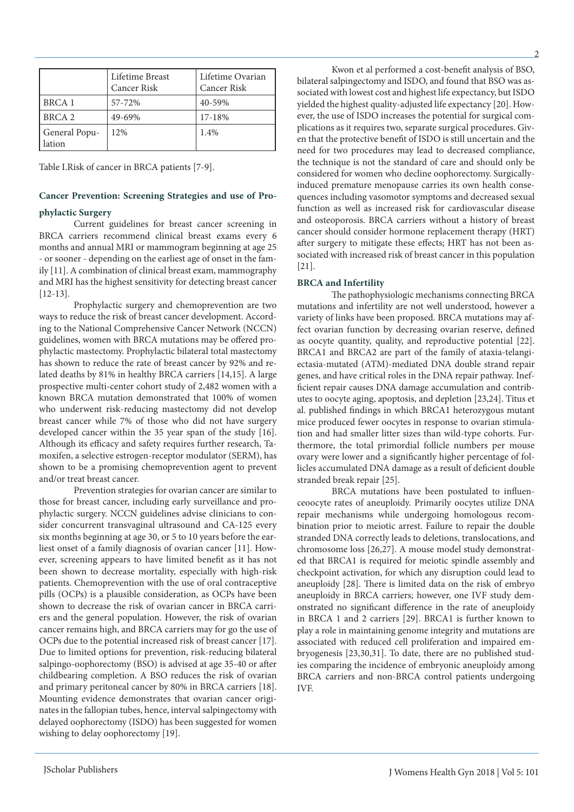|                         | Lifetime Breast<br>Cancer Risk | Lifetime Ovarian<br><b>Cancer Risk</b> |
|-------------------------|--------------------------------|----------------------------------------|
| <b>BRCA1</b>            | 57-72%                         | 40-59%                                 |
| BRCA <sub>2</sub>       | 49-69%                         | 17-18%                                 |
| General Popu-<br>lation | 12%                            | 1.4%                                   |

Table I.Risk of cancer in BRCA patients [7-9].

# **Cancer Prevention: Screening Strategies and use of Pro-**

#### **phylactic Surgery**

Current guidelines for breast cancer screening in BRCA carriers recommend clinical breast exams every 6 months and annual MRI or mammogram beginning at age 25 - or sooner - depending on the earliest age of onset in the family [11]. A combination of clinical breast exam, mammography and MRI has the highest sensitivity for detecting breast cancer [12-13].

Prophylactic surgery and chemoprevention are two ways to reduce the risk of breast cancer development. According to the National Comprehensive Cancer Network (NCCN) guidelines, women with BRCA mutations may be offered prophylactic mastectomy. Prophylactic bilateral total mastectomy has shown to reduce the rate of breast cancer by 92% and related deaths by 81% in healthy BRCA carriers [14,15]. A large prospective multi-center cohort study of 2,482 women with a known BRCA mutation demonstrated that 100% of women who underwent risk-reducing mastectomy did not develop breast cancer while 7% of those who did not have surgery developed cancer within the 35 year span of the study [16]. Although its efficacy and safety requires further research, Tamoxifen, a selective estrogen-receptor modulator (SERM), has shown to be a promising chemoprevention agent to prevent and/or treat breast cancer.

Prevention strategies for ovarian cancer are similar to those for breast cancer, including early surveillance and prophylactic surgery. NCCN guidelines advise clinicians to consider concurrent transvaginal ultrasound and CA-125 every six months beginning at age 30, or 5 to 10 years before the earliest onset of a family diagnosis of ovarian cancer [11]. However, screening appears to have limited benefit as it has not been shown to decrease mortality, especially with high-risk patients. Chemoprevention with the use of oral contraceptive pills (OCPs) is a plausible consideration, as OCPs have been shown to decrease the risk of ovarian cancer in BRCA carriers and the general population. However, the risk of ovarian cancer remains high, and BRCA carriers may for go the use of OCPs due to the potential increased risk of breast cancer [17]. Due to limited options for prevention, risk-reducing bilateral salpingo-oophorectomy (BSO) is advised at age 35-40 or after childbearing completion. A BSO reduces the risk of ovarian and primary peritoneal cancer by 80% in BRCA carriers [18]. Mounting evidence demonstrates that ovarian cancer originates in the fallopian tubes, hence, interval salpingectomy with delayed oophorectomy (ISDO) has been suggested for women wishing to delay oophorectomy [19].

Kwon et al performed a cost-benefit analysis of BSO, bilateral salpingectomy and ISDO, and found that BSO was associated with lowest cost and highest life expectancy, but ISDO yielded the highest quality-adjusted life expectancy [20]. However, the use of ISDO increases the potential for surgical complications as it requires two, separate surgical procedures. Given that the protective benefit of ISDO is still uncertain and the need for two procedures may lead to decreased compliance, the technique is not the standard of care and should only be considered for women who decline oophorectomy. Surgicallyinduced premature menopause carries its own health consequences including vasomotor symptoms and decreased sexual function as well as increased risk for cardiovascular disease and osteoporosis. BRCA carriers without a history of breast cancer should consider hormone replacement therapy (HRT) after surgery to mitigate these effects; HRT has not been associated with increased risk of breast cancer in this population [21].

#### **BRCA and Infertility**

The pathophysiologic mechanisms connecting BRCA mutations and infertility are not well understood, however a variety of links have been proposed. BRCA mutations may affect ovarian function by decreasing ovarian reserve, defined as oocyte quantity, quality, and reproductive potential [22]. BRCA1 and BRCA2 are part of the family of ataxia-telangiectasia-mutated (ATM)-mediated DNA double strand repair genes, and have critical roles in the DNA repair pathway. Inefficient repair causes DNA damage accumulation and contributes to oocyte aging, apoptosis, and depletion [23,24]. Titus et al. published findings in which BRCA1 heterozygous mutant mice produced fewer oocytes in response to ovarian stimulation and had smaller litter sizes than wild-type cohorts. Furthermore, the total primordial follicle numbers per mouse ovary were lower and a significantly higher percentage of follicles accumulated DNA damage as a result of deficient double stranded break repair [25].

BRCA mutations have been postulated to influenceoocyte rates of aneuploidy. Primarily oocytes utilize DNA repair mechanisms while undergoing homologous recombination prior to meiotic arrest. Failure to repair the double stranded DNA correctly leads to deletions, translocations, and chromosome loss [26,27]. A mouse model study demonstrated that BRCA1 is required for meiotic spindle assembly and checkpoint activation, for which any disruption could lead to aneuploidy [28]. There is limited data on the risk of embryo aneuploidy in BRCA carriers; however, one IVF study demonstrated no significant difference in the rate of aneuploidy in BRCA 1 and 2 carriers [29]. BRCA1 is further known to play a role in maintaining genome integrity and mutations are associated with reduced cell proliferation and impaired embryogenesis [23,30,31]. To date, there are no published studies comparing the incidence of embryonic aneuploidy among BRCA carriers and non-BRCA control patients undergoing IVF.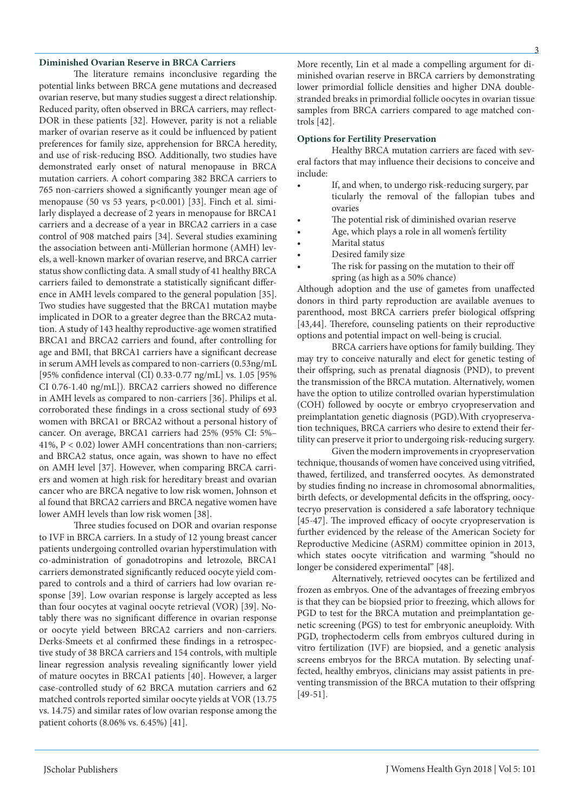#### **Diminished Ovarian Reserve in BRCA Carriers**

The literature remains inconclusive regarding the potential links between BRCA gene mutations and decreased ovarian reserve, but many studies suggest a direct relationship. Reduced parity, often observed in BRCA carriers, may reflect-DOR in these patients [32]. However, parity is not a reliable marker of ovarian reserve as it could be influenced by patient preferences for family size, apprehension for BRCA heredity, and use of risk-reducing BSO. Additionally, two studies have demonstrated early onset of natural menopause in BRCA mutation carriers. A cohort comparing 382 BRCA carriers to 765 non-carriers showed a significantly younger mean age of menopause (50 vs 53 years, p<0.001) [33]. Finch et al. similarly displayed a decrease of 2 years in menopause for BRCA1 carriers and a decrease of a year in BRCA2 carriers in a case control of 908 matched pairs [34]. Several studies examining the association between anti-Müllerian hormone (AMH) levels, a well-known marker of ovarian reserve, and BRCA carrier status show conflicting data. A small study of 41 healthy BRCA carriers failed to demonstrate a statistically significant difference in AMH levels compared to the general population [35]. Two studies have suggested that the BRCA1 mutation maybe implicated in DOR to a greater degree than the BRCA2 mutation. A study of 143 healthy reproductive-age women stratified BRCA1 and BRCA2 carriers and found, after controlling for age and BMI, that BRCA1 carriers have a significant decrease in serum AMH levels as compared to non-carriers (0.53ng/mL [95% confidence interval (CI) 0.33-0.77 ng/mL] vs. 1.05 [95% CI 0.76-1.40 ng/mL]). BRCA2 carriers showed no difference in AMH levels as compared to non-carriers [36]. Philips et al. corroborated these findings in a cross sectional study of 693 women with BRCA1 or BRCA2 without a personal history of cancer. On average, BRCA1 carriers had 25% (95% CI: 5%– 41%, P < 0.02) lower AMH concentrations than non-carriers; and BRCA2 status, once again, was shown to have no effect on AMH level [37]. However, when comparing BRCA carriers and women at high risk for hereditary breast and ovarian cancer who are BRCA negative to low risk women, Johnson et al found that BRCA2 carriers and BRCA negative women have lower AMH levels than low risk women [38].

Three studies focused on DOR and ovarian response to IVF in BRCA carriers. In a study of 12 young breast cancer patients undergoing controlled ovarian hyperstimulation with co-administration of gonadotropins and letrozole, BRCA1 carriers demonstrated significantly reduced oocyte yield compared to controls and a third of carriers had low ovarian response [39]. Low ovarian response is largely accepted as less than four oocytes at vaginal oocyte retrieval (VOR) [39]. Notably there was no significant difference in ovarian response or oocyte yield between BRCA2 carriers and non-carriers. Derks-Smeets et al confirmed these findings in a retrospective study of 38 BRCA carriers and 154 controls, with multiple linear regression analysis revealing significantly lower yield of mature oocytes in BRCA1 patients [40]. However, a larger case-controlled study of 62 BRCA mutation carriers and 62 matched controls reported similar oocyte yields at VOR (13.75 vs. 14.75) and similar rates of low ovarian response among the patient cohorts (8.06% vs. 6.45%) [41].

More recently, Lin et al made a compelling argument for diminished ovarian reserve in BRCA carriers by demonstrating lower primordial follicle densities and higher DNA doublestranded breaks in primordial follicle oocytes in ovarian tissue samples from BRCA carriers compared to age matched controls [42].

#### **Options for Fertility Preservation**

Healthy BRCA mutation carriers are faced with several factors that may influence their decisions to conceive and include:

- If, and when, to undergo risk-reducing surgery, par ticularly the removal of the fallopian tubes and ovaries
- The potential risk of diminished ovarian reserve
- Age, which plays a role in all women's fertility
- Marital status
- Desired family size
- The risk for passing on the mutation to their off spring (as high as a 50% chance)

Although adoption and the use of gametes from unaffected donors in third party reproduction are available avenues to parenthood, most BRCA carriers prefer biological offspring [43,44]. Therefore, counseling patients on their reproductive options and potential impact on well-being is crucial.

BRCA carriers have options for family building. They may try to conceive naturally and elect for genetic testing of their offspring, such as prenatal diagnosis (PND), to prevent the transmission of the BRCA mutation. Alternatively, women have the option to utilize controlled ovarian hyperstimulation (COH) followed by oocyte or embryo cryopreservation and preimplantation genetic diagnosis (PGD).With cryopreservation techniques, BRCA carriers who desire to extend their fertility can preserve it prior to undergoing risk-reducing surgery.

Given the modern improvements in cryopreservation technique, thousands of women have conceived using vitrified, thawed, fertilized, and transferred oocytes. As demonstrated by studies finding no increase in chromosomal abnormalities, birth defects, or developmental deficits in the offspring, oocytecryo preservation is considered a safe laboratory technique [45-47]. The improved efficacy of oocyte cryopreservation is further evidenced by the release of the American Society for Reproductive Medicine (ASRM) committee opinion in 2013, which states oocyte vitrification and warming "should no longer be considered experimental" [48].

Alternatively, retrieved oocytes can be fertilized and frozen as embryos. One of the advantages of freezing embryos is that they can be biopsied prior to freezing, which allows for PGD to test for the BRCA mutation and preimplantation genetic screening (PGS) to test for embryonic aneuploidy. With PGD, trophectoderm cells from embryos cultured during in vitro fertilization (IVF) are biopsied, and a genetic analysis screens embryos for the BRCA mutation. By selecting unaffected, healthy embryos, clinicians may assist patients in preventing transmission of the BRCA mutation to their offspring [49-51].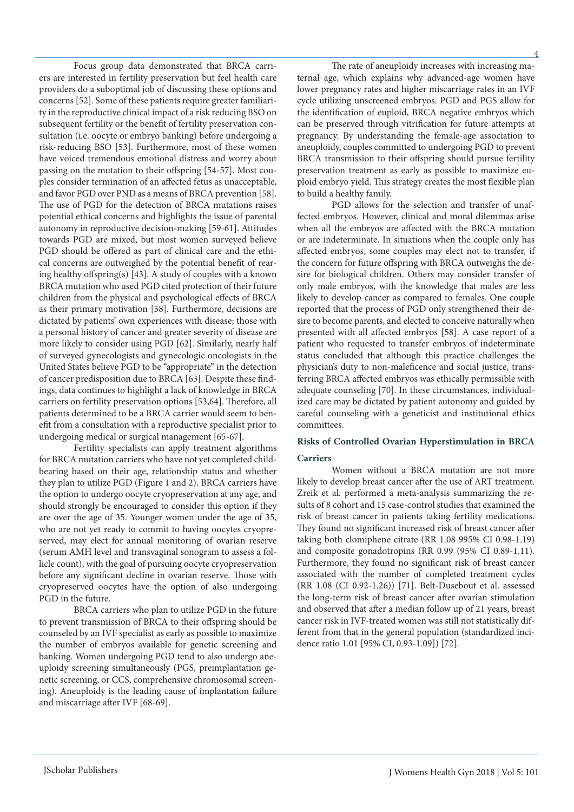Focus group data demonstrated that BRCA carriers are interested in fertility preservation but feel health care providers do a suboptimal job of discussing these options and concerns [52]. Some of these patients require greater familiarity in the reproductive clinical impact of a risk reducing BSO on subsequent fertility or the benefit of fertility preservation consultation (i.e. oocyte or embryo banking) before undergoing a risk-reducing BSO [53]. Furthermore, most of these women have voiced tremendous emotional distress and worry about passing on the mutation to their offspring [54-57]. Most couples consider termination of an affected fetus as unacceptable, and favor PGD over PND as a means of BRCA prevention [58]. The use of PGD for the detection of BRCA mutations raises potential ethical concerns and highlights the issue of parental autonomy in reproductive decision-making [59-61]. Attitudes towards PGD are mixed, but most women surveyed believe PGD should be offered as part of clinical care and the ethical concerns are outweighed by the potential benefit of rearing healthy offspring(s) [43]. A study of couples with a known BRCA mutation who used PGD cited protection of their future children from the physical and psychological effects of BRCA as their primary motivation [58]. Furthermore, decisions are dictated by patients' own experiences with disease; those with a personal history of cancer and greater severity of disease are more likely to consider using PGD [62]. Similarly, nearly half of surveyed gynecologists and gynecologic oncologists in the United States believe PGD to be "appropriate" in the detection of cancer predisposition due to BRCA [63]. Despite these findings, data continues to highlight a lack of knowledge in BRCA carriers on fertility preservation options [53,64]. Therefore, all patients determined to be a BRCA carrier would seem to benefit from a consultation with a reproductive specialist prior to undergoing medical or surgical management [65-67].

Fertility specialists can apply treatment algorithms for BRCA mutation carriers who have not yet completed childbearing based on their age, relationship status and whether they plan to utilize PGD (Figure 1 and 2). BRCA carriers have the option to undergo oocyte cryopreservation at any age, and should strongly be encouraged to consider this option if they are over the age of 35. Younger women under the age of 35, who are not yet ready to commit to having oocytes cryopreserved, may elect for annual monitoring of ovarian reserve (serum AMH level and transvaginal sonogram to assess a follicle count), with the goal of pursuing oocyte cryopreservation before any significant decline in ovarian reserve. Those with cryopreserved oocytes have the option of also undergoing PGD in the future.

BRCA carriers who plan to utilize PGD in the future to prevent transmission of BRCA to their offspring should be counseled by an IVF specialist as early as possible to maximize the number of embryos available for genetic screening and banking. Women undergoing PGD tend to also undergo aneuploidy screening simultaneously (PGS, preimplantation genetic screening, or CCS, comprehensive chromosomal screening). Aneuploidy is the leading cause of implantation failure and miscarriage after IVF [68-69].

4 The rate of aneuploidy increases with increasing maternal age, which explains why advanced-age women have lower pregnancy rates and higher miscarriage rates in an IVF cycle utilizing unscreened embryos. PGD and PGS allow for the identification of euploid, BRCA negative embryos which can be preserved through vitrification for future attempts at pregnancy. By understanding the female-age association to aneuploidy, couples committed to undergoing PGD to prevent BRCA transmission to their offspring should pursue fertility preservation treatment as early as possible to maximize euploid embryo yield. This strategy creates the most flexible plan to build a healthy family.

PGD allows for the selection and transfer of unaffected embryos. However, clinical and moral dilemmas arise when all the embryos are affected with the BRCA mutation or are indeterminate. In situations when the couple only has affected embryos, some couples may elect not to transfer, if the concern for future offspring with BRCA outweighs the desire for biological children. Others may consider transfer of only male embryos, with the knowledge that males are less likely to develop cancer as compared to females. One couple reported that the process of PGD only strengthened their desire to become parents, and elected to conceive naturally when presented with all affected embryos [58]. A case report of a patient who requested to transfer embryos of indeterminate status concluded that although this practice challenges the physician's duty to non-maleficence and social justice, transferring BRCA affected embryos was ethically permissible with adequate counseling [70]. In these circumstances, individualized care may be dictated by patient autonomy and guided by careful counseling with a geneticist and institutional ethics committees.

# **Risks of Controlled Ovarian Hyperstimulation in BRCA Carriers**

Women without a BRCA mutation are not more likely to develop breast cancer after the use of ART treatment. Zreik et al. performed a meta-analysis summarizing the results of 8 cohort and 15 case-control studies that examined the risk of breast cancer in patients taking fertility medications. They found no significant increased risk of breast cancer after taking both clomiphene citrate (RR 1.08 995% CI 0.98-1.19) and composite gonadotropins (RR 0.99 (95% CI 0.89-1.11). Furthermore, they found no significant risk of breast cancer associated with the number of completed treatment cycles (RR 1.08 (CI 0.92-1.26)) [71]. Belt-Dusebout et al. assessed the long-term risk of breast cancer after ovarian stimulation and observed that after a median follow up of 21 years, breast cancer risk in IVF-treated women was still not statistically different from that in the general population (standardized incidence ratio 1.01 [95% CI, 0.93-1.09]) [72].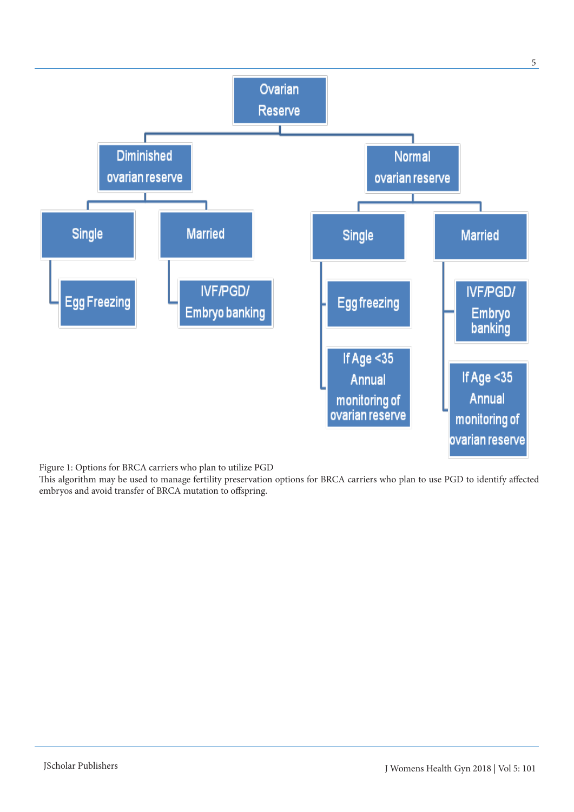

Figure 1: Options for BRCA carriers who plan to utilize PGD

This algorithm may be used to manage fertility preservation options for BRCA carriers who plan to use PGD to identify affected embryos and avoid transfer of BRCA mutation to offspring.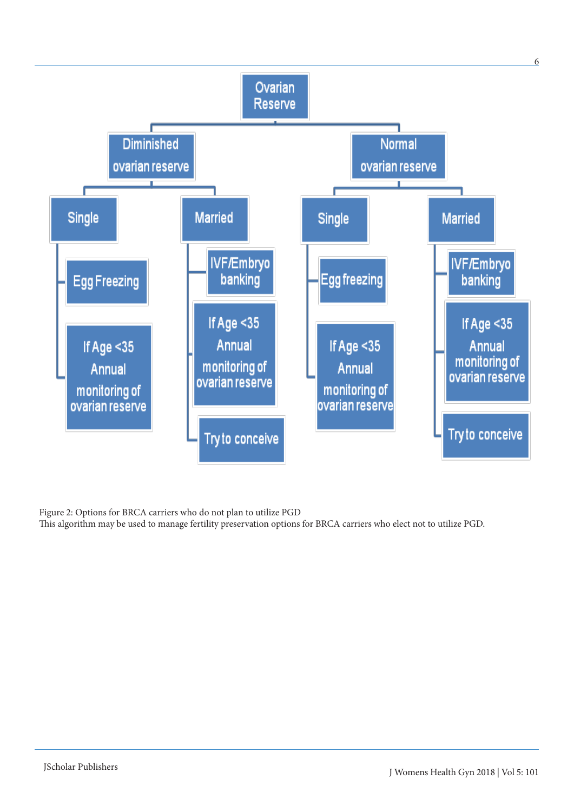

Figure 2: Options for BRCA carriers who do not plan to utilize PGD

This algorithm may be used to manage fertility preservation options for BRCA carriers who elect not to utilize PGD.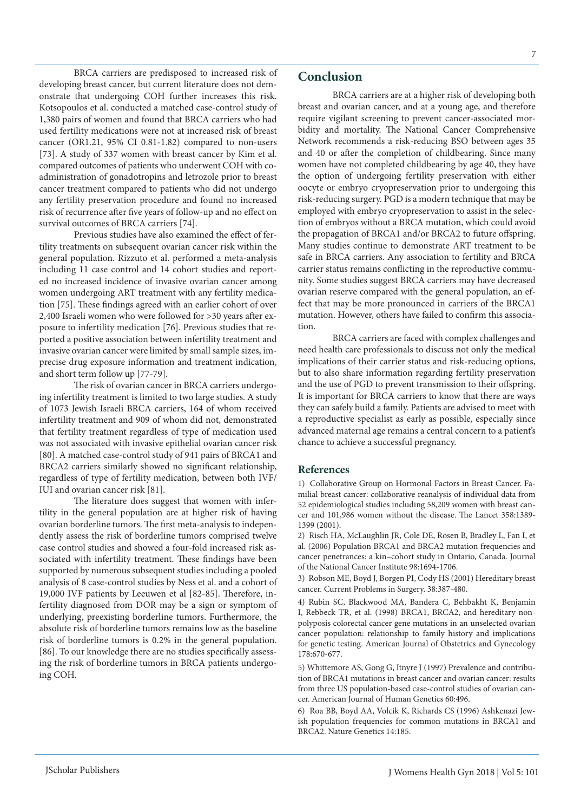BRCA carriers are predisposed to increased risk of developing breast cancer, but current literature does not demonstrate that undergoing COH further increases this risk. Kotsopoulos et al. conducted a matched case-control study of 1,380 pairs of women and found that BRCA carriers who had used fertility medications were not at increased risk of breast cancer (OR1.21, 95% CI 0.81-1.82) compared to non-users [73]. A study of 337 women with breast cancer by Kim et al. compared outcomes of patients who underwent COH with coadministration of gonadotropins and letrozole prior to breast cancer treatment compared to patients who did not undergo any fertility preservation procedure and found no increased risk of recurrence after five years of follow-up and no effect on survival outcomes of BRCA carriers [74].

Previous studies have also examined the effect of fertility treatments on subsequent ovarian cancer risk within the general population. Rizzuto et al. performed a meta-analysis including 11 case control and 14 cohort studies and reported no increased incidence of invasive ovarian cancer among women undergoing ART treatment with any fertility medication [75]. These findings agreed with an earlier cohort of over 2,400 Israeli women who were followed for >30 years after exposure to infertility medication [76]. Previous studies that reported a positive association between infertility treatment and invasive ovarian cancer were limited by small sample sizes, imprecise drug exposure information and treatment indication, and short term follow up [77-79].

The risk of ovarian cancer in BRCA carriers undergoing infertility treatment is limited to two large studies. A study of 1073 Jewish Israeli BRCA carriers, 164 of whom received infertility treatment and 909 of whom did not, demonstrated that fertility treatment regardless of type of medication used was not associated with invasive epithelial ovarian cancer risk [80]. A matched case-control study of 941 pairs of BRCA1 and BRCA2 carriers similarly showed no significant relationship, regardless of type of fertility medication, between both IVF/ IUI and ovarian cancer risk [81].

The literature does suggest that women with infertility in the general population are at higher risk of having ovarian borderline tumors. The first meta-analysis to independently assess the risk of borderline tumors comprised twelve case control studies and showed a four-fold increased risk associated with infertility treatment. These findings have been supported by numerous subsequent studies including a pooled analysis of 8 case-control studies by Ness et al. and a cohort of 19,000 IVF patients by Leeuwen et al [82-85]. Therefore, infertility diagnosed from DOR may be a sign or symptom of underlying, preexisting borderline tumors. Furthermore, the absolute risk of borderline tumors remains low as the baseline risk of borderline tumors is 0.2% in the general population. [86]. To our knowledge there are no studies specifically assessing the risk of borderline tumors in BRCA patients undergoing COH.

# **Conclusion**

BRCA carriers are at a higher risk of developing both breast and ovarian cancer, and at a young age, and therefore require vigilant screening to prevent cancer-associated morbidity and mortality. The National Cancer Comprehensive Network recommends a risk-reducing BSO between ages 35 and 40 or after the completion of childbearing. Since many women have not completed childbearing by age 40, they have the option of undergoing fertility preservation with either oocyte or embryo cryopreservation prior to undergoing this risk-reducing surgery. PGD is a modern technique that may be employed with embryo cryopreservation to assist in the selection of embryos without a BRCA mutation, which could avoid the propagation of BRCA1 and/or BRCA2 to future offspring. Many studies continue to demonstrate ART treatment to be safe in BRCA carriers. Any association to fertility and BRCA carrier status remains conflicting in the reproductive community. Some studies suggest BRCA carriers may have decreased ovarian reserve compared with the general population, an effect that may be more pronounced in carriers of the BRCA1 mutation. However, others have failed to confirm this association.

BRCA carriers are faced with complex challenges and need health care professionals to discuss not only the medical implications of their carrier status and risk-reducing options, but to also share information regarding fertility preservation and the use of PGD to prevent transmission to their offspring. It is important for BRCA carriers to know that there are ways they can safely build a family. Patients are advised to meet with a reproductive specialist as early as possible, especially since advanced maternal age remains a central concern to a patient's chance to achieve a successful pregnancy.

### **References**

1) Collaborative Group on Hormonal Factors in Breast Cancer. Familial breast cancer: collaborative reanalysis of individual data from 52 epidemiological studies including 58,209 women with breast cancer and 101,986 women without the disease. The Lancet 358:1389- 1399 (2001).

2) Risch HA, McLaughlin JR, Cole DE, Rosen B, Bradley L, Fan I, et al. (2006) Population BRCA1 and BRCA2 mutation frequencies and cancer penetrances: a kin–cohort study in Ontario, Canada. Journal of the National Cancer Institute 98:1694-1706.

3) Robson ME, Boyd J, Borgen PI, Cody HS (2001) Hereditary breast cancer. Current Problems in Surgery. 38:387-480.

4) Rubin SC, Blackwood MA, Bandera C, Behbakht K, Benjamin I, Rebbeck TR, et al. (1998) BRCA1, BRCA2, and hereditary nonpolyposis colorectal cancer gene mutations in an unselected ovarian cancer population: relationship to family history and implications for genetic testing. American Journal of Obstetrics and Gynecology 178:670-677.

5) Whittemore AS, Gong G, Itnyre J (1997) Prevalence and contribution of BRCA1 mutations in breast cancer and ovarian cancer: results from three US population-based case-control studies of ovarian cancer. American Journal of Human Genetics 60:496.

6) Roa BB, Boyd AA, Volcik K, Richards CS (1996) Ashkenazi Jewish population frequencies for common mutations in BRCA1 and BRCA2. Nature Genetics 14:185.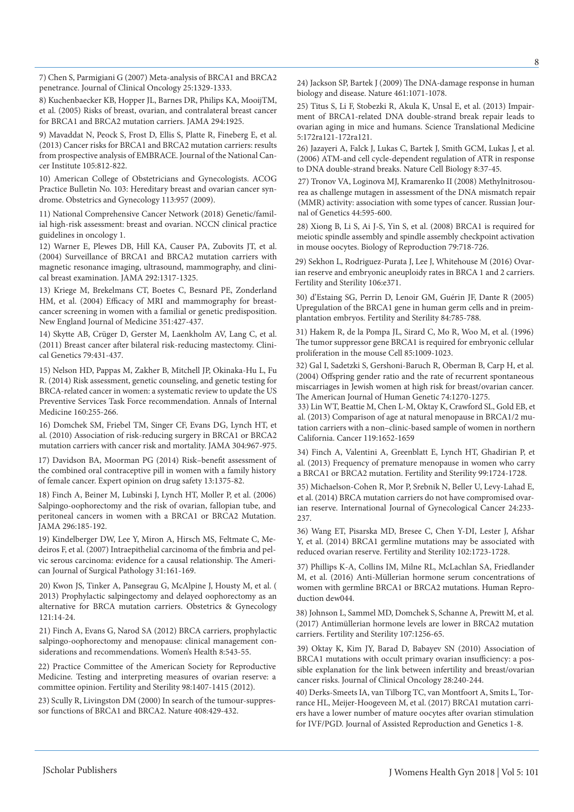7) Chen S, Parmigiani G (2007) Meta-analysis of BRCA1 and BRCA2 penetrance. Journal of Clinical Oncology 25:1329-1333.

8) Kuchenbaecker KB, Hopper JL, Barnes DR, Philips KA, MooijTM, et al. (2005) Risks of breast, ovarian, and contralateral breast cancer for BRCA1 and BRCA2 mutation carriers. JAMA 294:1925.

9) Mavaddat N, Peock S, Frost D, Ellis S, Platte R, Fineberg E, et al. (2013) Cancer risks for BRCA1 and BRCA2 mutation carriers: results from prospective analysis of EMBRACE. Journal of the National Cancer Institute 105:812-822.

10) American College of Obstetricians and Gynecologists. ACOG Practice Bulletin No. 103: Hereditary breast and ovarian cancer syndrome. Obstetrics and Gynecology 113:957 (2009).

11) National Comprehensive Cancer Network (2018) Genetic/familial high-risk assessment: breast and ovarian. NCCN clinical practice guidelines in oncology 1.

12) Warner E, Plewes DB, Hill KA, Causer PA, Zubovits JT, et al. (2004) Surveillance of BRCA1 and BRCA2 mutation carriers with magnetic resonance imaging, ultrasound, mammography, and clinical breast examination. JAMA 292:1317-1325.

13) Kriege M, Brekelmans CT, Boetes C, Besnard PE, Zonderland HM, et al. (2004) Efficacy of MRI and mammography for breastcancer screening in women with a familial or genetic predisposition. New England Journal of Medicine 351:427-437.

14) Skytte AB, Crüger D, Gerster M, Laenkholm AV, Lang C, et al. (2011) Breast cancer after bilateral risk‐reducing mastectomy. Clinical Genetics 79:431-437.

15) Nelson HD, Pappas M, Zakher B, Mitchell JP, Okinaka-Hu L, Fu R. (2014) Risk assessment, genetic counseling, and genetic testing for BRCA-related cancer in women: a systematic review to update the US Preventive Services Task Force recommendation. Annals of Internal Medicine 160:255-266.

16) Domchek SM, Friebel TM, Singer CF, Evans DG, Lynch HT, et al. (2010) Association of risk-reducing surgery in BRCA1 or BRCA2 mutation carriers with cancer risk and mortality. JAMA 304:967-975.

17) Davidson BA, Moorman PG (2014) Risk–benefit assessment of the combined oral contraceptive pill in women with a family history of female cancer. Expert opinion on drug safety 13:1375-82.

18) Finch A, Beiner M, Lubinski J, Lynch HT, Moller P, et al. (2006) Salpingo-oophorectomy and the risk of ovarian, fallopian tube, and peritoneal cancers in women with a BRCA1 or BRCA2 Mutation. JAMA 296:185-192.

19) Kindelberger DW, Lee Y, Miron A, Hirsch MS, Feltmate C, Medeiros F, et al. (2007) Intraepithelial carcinoma of the fimbria and pelvic serous carcinoma: evidence for a causal relationship. The American Journal of Surgical Pathology 31:161-169.

20) Kwon JS, Tinker A, Pansegrau G, McAlpine J, Housty M, et al. ( 2013) Prophylactic salpingectomy and delayed oophorectomy as an alternative for BRCA mutation carriers. Obstetrics & Gynecology 121:14-24.

21) Finch A, Evans G, Narod SA (2012) BRCA carriers, prophylactic salpingo-oophorectomy and menopause: clinical management considerations and recommendations. Women's Health 8:543-55.

22) Practice Committee of the American Society for Reproductive Medicine. Testing and interpreting measures of ovarian reserve: a committee opinion. Fertility and Sterility 98:1407-1415 (2012).

23) Scully R, Livingston DM (2000) In search of the tumour-suppressor functions of BRCA1 and BRCA2. Nature 408:429-432.

24) Jackson SP, Bartek J (2009) The DNA-damage response in human biology and disease. Nature 461:1071-1078.

25) Titus S, Li F, Stobezki R, Akula K, Unsal E, et al. (2013) Impairment of BRCA1-related DNA double-strand break repair leads to ovarian aging in mice and humans. Science Translational Medicine 5:172ra121-172ra121.

26) Jazayeri A, Falck J, Lukas C, Bartek J, Smith GCM, Lukas J, et al. (2006) ATM-and cell cycle-dependent regulation of ATR in response to DNA double-strand breaks. Nature Cell Biology 8:37-45.

27) Tronov VA, Loginova MJ, Kramarenko II (2008) Methylnitrosourea as challenge mutagen in assessment of the DNA mismatch repair (MMR) activity: association with some types of cancer. Russian Journal of Genetics 44:595-600.

28) Xiong B, Li S, Ai J-S, Yin S, et al. (2008) BRCA1 is required for meiotic spindle assembly and spindle assembly checkpoint activation in mouse oocytes. Biology of Reproduction 79:718-726.

29) Sekhon L, Rodriguez-Purata J, Lee J, Whitehouse M (2016) Ovarian reserve and embryonic aneuploidy rates in BRCA 1 and 2 carriers. Fertility and Sterility 106:e371.

30) d'Estaing SG, Perrin D, Lenoir GM, Guérin JF, Dante R (2005) Upregulation of the BRCA1 gene in human germ cells and in preimplantation embryos. Fertility and Sterility 84:785-788.

31) Hakem R, de la Pompa JL, Sirard C, Mo R, Woo M, et al. (1996) The tumor suppressor gene BRCA1 is required for embryonic cellular proliferation in the mouse Cell 85:1009-1023.

32) Gal I, Sadetzki S, Gershoni-Baruch R, Oberman B, Carp H, et al. (2004) Offspring gender ratio and the rate of recurrent spontaneous miscarriages in Jewish women at high risk for breast/ovarian cancer. The American Journal of Human Genetic 74:1270-1275.

33) Lin WT, Beattie M, Chen L-M, Oktay K, Crawford SL, Gold EB, et al. (2013) Comparison of age at natural menopause in BRCA1/2 mutation carriers with a non–clinic‐based sample of women in northern California. Cancer 119:1652-1659

34) Finch A, Valentini A, Greenblatt E, Lynch HT, Ghadirian P, et al. (2013) Frequency of premature menopause in women who carry a BRCA1 or BRCA2 mutation. Fertility and Sterility 99:1724-1728.

35) Michaelson-Cohen R, Mor P, Srebnik N, Beller U, Levy-Lahad E, et al. (2014) BRCA mutation carriers do not have compromised ovarian reserve. International Journal of Gynecological Cancer 24:233- 237.

36) Wang ET, Pisarska MD, Bresee C, Chen Y-DI, Lester J, Afshar Y, et al. (2014) BRCA1 germline mutations may be associated with reduced ovarian reserve. Fertility and Sterility 102:1723-1728.

37) Phillips K-A, Collins IM, Milne RL, McLachlan SA, Friedlander M, et al. (2016) Anti-Müllerian hormone serum concentrations of women with germline BRCA1 or BRCA2 mutations. Human Reproduction dew044.

38) Johnson L, Sammel MD, Domchek S, Schanne A, Prewitt M, et al. (2017) Antimüllerian hormone levels are lower in BRCA2 mutation carriers. Fertility and Sterility 107:1256-65.

39) Oktay K, Kim JY, Barad D, Babayev SN (2010) Association of BRCA1 mutations with occult primary ovarian insufficiency: a possible explanation for the link between infertility and breast/ovarian cancer risks. Journal of Clinical Oncology 28:240-244.

40) Derks-Smeets IA, van Tilborg TC, van Montfoort A, Smits L, Torrance HL, Meijer-Hoogeveen M, et al. (2017) BRCA1 mutation carriers have a lower number of mature oocytes after ovarian stimulation for IVF/PGD. Journal of Assisted Reproduction and Genetics 1-8.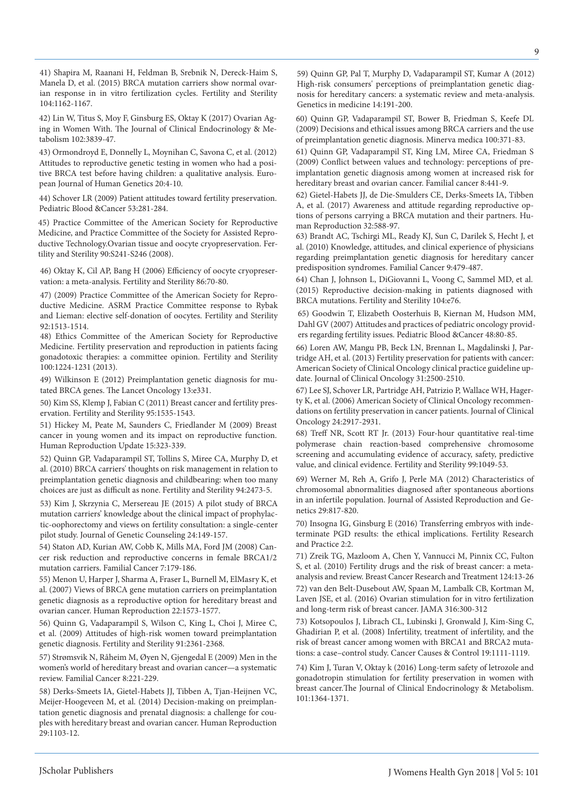41) Shapira M, Raanani H, Feldman B, Srebnik N, Dereck-Haim S, Manela D, et al. (2015) BRCA mutation carriers show normal ovarian response in in vitro fertilization cycles. Fertility and Sterility 104:1162-1167.

42) Lin W, Titus S, Moy F, Ginsburg ES, Oktay K (2017) Ovarian Aging in Women With. The Journal of Clinical Endocrinology & Metabolism 102:3839-47.

43) Ormondroyd E, Donnelly L, Moynihan C, Savona C, et al. (2012) Attitudes to reproductive genetic testing in women who had a positive BRCA test before having children: a qualitative analysis. European Journal of Human Genetics 20:4-10.

44) Schover LR (2009) Patient attitudes toward fertility preservation. Pediatric Blood &Cancer 53:281-284.

45) Practice Committee of the American Society for Reproductive Medicine, and Practice Committee of the Society for Assisted Reproductive Technology.Ovarian tissue and oocyte cryopreservation. Fertility and Sterility 90:S241-S246 (2008).

46) Oktay K, Cil AP, Bang H (2006) Efficiency of oocyte cryopreservation: a meta-analysis. Fertility and Sterility 86:70-80.

47) (2009) Practice Committee of the American Society for Reproductive Medicine. ASRM Practice Committee response to Rybak and Lieman: elective self-donation of oocytes. Fertility and Sterility 92:1513-1514.

48) Ethics Committee of the American Society for Reproductive Medicine. Fertility preservation and reproduction in patients facing gonadotoxic therapies: a committee opinion. Fertility and Sterility 100:1224-1231 (2013).

49) Wilkinson E (2012) Preimplantation genetic diagnosis for mutated BRCA genes. The Lancet Oncology 13:e331.

50) Kim SS, Klemp J, Fabian C (2011) Breast cancer and fertility preservation. Fertility and Sterility 95:1535-1543.

51) Hickey M, Peate M, Saunders C, Friedlander M (2009) Breast cancer in young women and its impact on reproductive function. Human Reproduction Update 15:323-339.

52) Quinn GP, Vadaparampil ST, Tollins S, Miree CA, Murphy D, et al. (2010) BRCA carriers' thoughts on risk management in relation to preimplantation genetic diagnosis and childbearing: when too many choices are just as difficult as none. Fertility and Sterility 94:2473-5.

53) Kim J, Skrzynia C, Mersereau JE (2015) A pilot study of BRCA mutation carriers' knowledge about the clinical impact of prophylactic-oophorectomy and views on fertility consultation: a single-center pilot study. Journal of Genetic Counseling 24:149-157.

54) Staton AD, Kurian AW, Cobb K, Mills MA, Ford JM (2008) Cancer risk reduction and reproductive concerns in female BRCA1/2 mutation carriers. Familial Cancer 7:179-186.

55) Menon U, Harper J, Sharma A, Fraser L, Burnell M, ElMasry K, et al. (2007) Views of BRCA gene mutation carriers on preimplantation genetic diagnosis as a reproductive option for hereditary breast and ovarian cancer. Human Reproduction 22:1573-1577.

56) Quinn G, Vadaparampil S, Wilson C, King L, Choi J, Miree C, et al. (2009) Attitudes of high-risk women toward preimplantation genetic diagnosis. Fertility and Sterility 91:2361-2368.

57) Strømsvik N, Råheim M, Øyen N, Gjengedal E (2009) Men in the women's world of hereditary breast and ovarian cancer—a systematic review. Familial Cancer 8:221-229.

58) Derks-Smeets IA, Gietel-Habets JJ, Tibben A, Tjan-Heijnen VC, Meijer-Hoogeveen M, et al. (2014) Decision-making on preimplantation genetic diagnosis and prenatal diagnosis: a challenge for couples with hereditary breast and ovarian cancer. Human Reproduction 29:1103-12.

59) Quinn GP, Pal T, Murphy D, Vadaparampil ST, Kumar A (2012) High-risk consumers' perceptions of preimplantation genetic diagnosis for hereditary cancers: a systematic review and meta-analysis. Genetics in medicine 14:191-200.

60) Quinn GP, Vadaparampil ST, Bower B, Friedman S, Keefe DL (2009) Decisions and ethical issues among BRCA carriers and the use of preimplantation genetic diagnosis. Minerva medica 100:371-83.

61) Quinn GP, Vadaparampil ST, King LM, Miree CA, Friedman S (2009) Conflict between values and technology: perceptions of preimplantation genetic diagnosis among women at increased risk for hereditary breast and ovarian cancer. Familial cancer 8:441-9.

62) Gietel-Habets JJ, de Die-Smulders CE, Derks-Smeets IA, Tibben A, et al. (2017) Awareness and attitude regarding reproductive options of persons carrying a BRCA mutation and their partners. Human Reproduction 32:588-97.

63) Brandt AC, Tschirgi ML, Ready KJ, Sun C, Darilek S, Hecht J, et al. (2010) Knowledge, attitudes, and clinical experience of physicians regarding preimplantation genetic diagnosis for hereditary cancer predisposition syndromes. Familial Cancer 9:479-487.

64) Chan J, Johnson L, DiGiovanni L, Voong C, Sammel MD, et al. (2015) Reproductive decision-making in patients diagnosed with BRCA mutations. Fertility and Sterility 104:e76.

65) Goodwin T, Elizabeth Oosterhuis B, Kiernan M, Hudson MM, Dahl GV (2007) Attitudes and practices of pediatric oncology providers regarding fertility issues. Pediatric Blood &Cancer 48:80-85.

66) Loren AW, Mangu PB, Beck LN, Brennan L, Magdalinski J, Partridge AH, et al. (2013) Fertility preservation for patients with cancer: American Society of Clinical Oncology clinical practice guideline update. Journal of Clinical Oncology 31:2500-2510.

67) Lee SJ, Schover LR, Partridge AH, Patrizio P, Wallace WH, Hagerty K, et al. (2006) American Society of Clinical Oncology recommendations on fertility preservation in cancer patients. Journal of Clinical Oncology 24:2917-2931.

68) Treff NR, Scott RT Jr. (2013) Four-hour quantitative real-time polymerase chain reaction-based comprehensive chromosome screening and accumulating evidence of accuracy, safety, predictive value, and clinical evidence. Fertility and Sterility 99:1049-53.

69) Werner M, Reh A, Grifo J, Perle MA (2012) Characteristics of chromosomal abnormalities diagnosed after spontaneous abortions in an infertile population. Journal of Assisted Reproduction and Genetics 29:817-820.

70) Insogna IG, Ginsburg E (2016) Transferring embryos with indeterminate PGD results: the ethical implications. Fertility Research and Practice 2:2.

71) Zreik TG, Mazloom A, Chen Y, Vannucci M, Pinnix CC, Fulton S, et al. (2010) Fertility drugs and the risk of breast cancer: a metaanalysis and review. Breast Cancer Research and Treatment 124:13-26 72) van den Belt-Dusebout AW, Spaan M, Lambalk CB, Kortman M, Laven JSE, et al. (2016) Ovarian stimulation for in vitro fertilization and long-term risk of breast cancer. JAMA 316:300-312

73) Kotsopoulos J, Librach CL, Lubinski J, Gronwald J, Kim-Sing C, Ghadirian P, et al. (2008) Infertility, treatment of infertility, and the risk of breast cancer among women with BRCA1 and BRCA2 mutations: a case–control study. Cancer Causes & Control 19:1111-1119.

74) Kim J, Turan V, Oktay k (2016) Long-term safety of letrozole and gonadotropin stimulation for fertility preservation in women with breast cancer.The Journal of Clinical Endocrinology & Metabolism. 101:1364-1371.